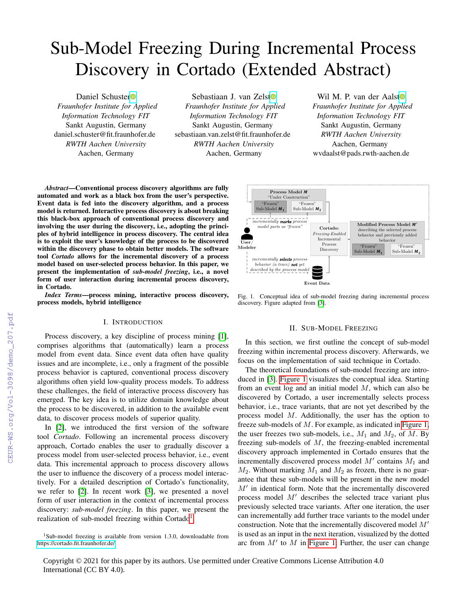# Sub-Model Freezing During Incremental Process Discovery in Cortado (Extended Abstract)

Daniel Schuste[r](https://orcid.org/0000-0002-6512-9580)<sup>®</sup> *Fraunhofer Institute for Applied Information Technology FIT* Sankt Augustin, Germany daniel.schuster@fit.fraunhofer.de *RWTH Aachen University* Aachen, Germany

Sebastiaan J. van Zels[t](https://orcid.org/0000-0003-0415-1036) *Fraunhofer Institute for Applied Information Technology FIT* Sankt Augustin, Germany sebastiaan.van.zelst@fit.fraunhofer.de *RWTH Aachen University* Aachen, Germany

Wil M. P. van der Aals[t](https://orcid.org/0000-0002-0955-6940)<sup>o</sup> *Fraunhofer Institute for Applied Information Technology FIT* Sankt Augustin, Germany *RWTH Aachen University* Aachen, Germany wvdaalst@pads.rwth-aachen.de

*Abstract*—Conventional process discovery algorithms are fully automated and work as a black box from the user's perspective. Event data is fed into the discovery algorithm, and a process model is returned. Interactive process discovery is about breaking this black-box approach of conventional process discovery and involving the user during the discovery, i.e., adopting the principles of hybrid intelligence in process discovery. The central idea is to exploit the user's knowledge of the process to be discovered within the discovery phase to obtain better models. The software tool *Cortado* allows for the incremental discovery of a process model based on user-selected process behavior. In this paper, we present the implementation of *sub-model freezing*, i.e., a novel form of user interaction during incremental process discovery, in Cortado.

*Index Terms*—process mining, interactive process discovery, process models, hybrid intelligence

### I. INTRODUCTION

Process discovery, a key discipline of process mining [\[1\]](#page--1-0), comprises algorithms that (automatically) learn a process model from event data. Since event data often have quality issues and are incomplete, i.e., only a fragment of the possible process behavior is captured, conventional process discovery algorithms often yield low-quality process models. To address these challenges, the field of interactive process discovery has emerged. The key idea is to utilize domain knowledge about the process to be discovered, in addition to the available event data, to discover process models of superior quality.

In [\[2\]](#page--1-1), we introduced the first version of the software tool *Cortado*. Following an incremental process discovery approach, Cortado enables the user to gradually discover a process model from user-selected process behavior, i.e., event data. This incremental approach to process discovery allows the user to influence the discovery of a process model interactively. For a detailed description of Cortado's functionality, we refer to [\[2\]](#page--1-1). In recent work [\[3\]](#page--1-2), we presented a novel form of user interaction in the context of incremental process discovery: *sub-model freezing*. In this paper, we present the realization of sub-model freezing within Cortado<sup>[1](#page-0-0)</sup>.



<span id="page-0-1"></span>Fig. 1. Conceptual idea of sub-model freezing during incremental process discovery. Figure adapted from [\[3\]](#page--1-2).

#### II. SUB-MODEL FREEZING

In this section, we first outline the concept of sub-model freezing within incremental process discovery. Afterwards, we focus on the implementation of said technique in Cortado.

The theoretical foundations of sub-model freezing are introduced in [\[3\]](#page--1-2). [Figure 1](#page-0-1) visualizes the conceptual idea. Starting from an event log and an initial model  $M$ , which can also be discovered by Cortado, a user incrementally selects process behavior, i.e., trace variants, that are not yet described by the process model M. Additionally, the user has the option to freeze sub-models of M. For example, as indicated in [Figure 1,](#page-0-1) the user freezes two sub-models, i.e.,  $M_1$  and  $M_2$ , of  $M$ . By freezing sub-models of M, the freezing-enabled incremental discovery approach implemented in Cortado ensures that the incrementally discovered process model  $M'$  contains  $M_1$  and  $M_2$ . Without marking  $M_1$  and  $M_2$  as frozen, there is no guarantee that these sub-models will be present in the new model  $M'$  in identical form. Note that the incrementally discovered process model  $M'$  describes the selected trace variant plus previously selected trace variants. After one iteration, the user can incrementally add further trace variants to the model under construction. Note that the incrementally discovered model  $M'$ is used as an input in the next iteration, visualized by the dotted arc from  $M'$  to  $M$  in [Figure 1.](#page-0-1) Further, the user can change

<span id="page-0-0"></span> $1$ Sub-model freezing is available from version 1.3.0, downloadable from <https://cortado.fit.fraunhofer.de/>